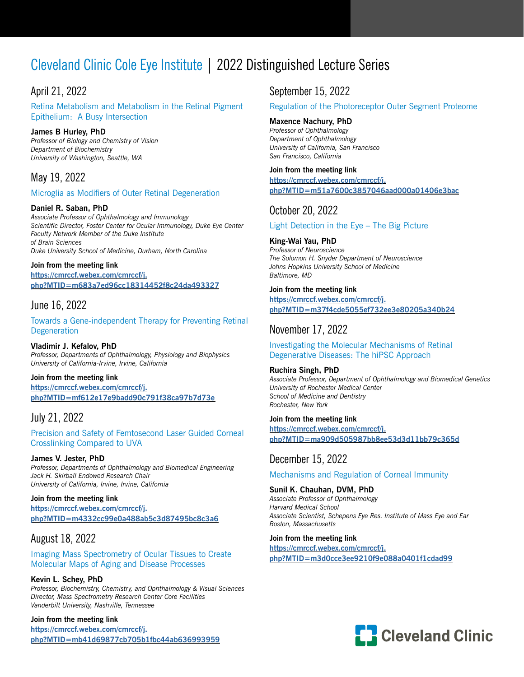# Cleveland Clinic Cole Eye Institute | 2022 Distinguished Lecture Series

# April 21, 2022

Retina Metabolism and Metabolism in the Retinal Pigment Epithelium: A Busy Intersection

### **James B Hurley, PhD**

*Professor of Biology and Chemistry of Vision Department of Biochemistry University of Washington, Seattle, WA* 

# May 19, 2022

#### Microglia as Modifiers of Outer Retinal Degeneration

#### **Daniel R. Saban, PhD**

*Associate Professor of Ophthalmology and Immunology Scientific Director, Foster Center for Ocular Immunology, Duke Eye Center Faculty Network Member of the Duke Institute of Brain Sciences Duke University School of Medicine, Durham, North Carolina* 

#### **Join from the meeting link**

**[https://cmrccf.webex.com/cmrccf/j.](https://cmrccf.webex.com/cmrccf/j.php?MTID=m683a7ed96cc18314452f8c24da493327) [php?MTID=m683a7ed96cc18314452f8c24da493327](https://cmrccf.webex.com/cmrccf/j.php?MTID=m683a7ed96cc18314452f8c24da493327)**

### June 16, 2022

Towards a Gene-independent Therapy for Preventing Retinal **Degeneration** 

**Vladimir J. Kefalov, PhD** *Professor, Departments of Ophthalmology, Physiology and Biophysics University of California-Irvine, Irvine, California* 

#### **Join from the meeting link [https://cmrccf.webex.com/cmrccf/j.](https://cmrccf.webex.com/cmrccf/j.php?MTID=mf612e17e9badd90c791f38ca97b7d73e  ) [php?MTID=mf612e17e9badd90c791f38ca97b7d73e](https://cmrccf.webex.com/cmrccf/j.php?MTID=mf612e17e9badd90c791f38ca97b7d73e  )**

# July 21, 2022

Precision and Safety of Femtosecond Laser Guided Corneal Crosslinking Compared to UVA

### **James V. Jester, PhD**

*Professor, Departments of Ophthalmology and Biomedical Engineering Jack H. Skirball Endowed Research Chair University of California, Irvine, Irvine, California*

#### **Join from the meeting link**

**[https://cmrccf.webex.com/cmrccf/j.](https://cmrccf.webex.com/cmrccf/j.php?MTID=m4332cc99e0a488ab5c3d87495bc8c3a6 ) [php?MTID=m4332cc99e0a488ab5c3d87495bc8c3a6](https://cmrccf.webex.com/cmrccf/j.php?MTID=m4332cc99e0a488ab5c3d87495bc8c3a6 )**

### August 18, 2022

Imaging Mass Spectrometry of Ocular Tissues to Create Molecular Maps of Aging and Disease Processes

### **Kevin L. Schey, PhD**

*Professor, Biochemistry, Chemistry, and Ophthalmology & Visual Sciences Director, Mass Spectrometry Research Center Core Facilities Vanderbilt University, Nashville, Tennessee*

#### **Join from the meeting link**

**[https://cmrccf.webex.com/cmrccf/j.](https://cmrccf.webex.com/cmrccf/j.php?MTID=mb41d69877cb705b1fbc44ab636993959 ) [php?MTID=mb41d69877cb705b1fbc44ab636993959](https://cmrccf.webex.com/cmrccf/j.php?MTID=mb41d69877cb705b1fbc44ab636993959 )**

### September 15, 2022

#### Regulation of the Photoreceptor Outer Segment Proteome

**Maxence Nachury, PhD** 

*Professor of Ophthalmology Department of Ophthalmology University of California, San Francisco San Francisco, California*

#### **Join from the meeting link**

**[https://cmrccf.webex.com/cmrccf/j.](https://cmrccf.webex.com/cmrccf/j.php?MTID=m51a7600c3857046aad000a01406e3bac ) [php?MTID=m51a7600c3857046aad000a01406e3bac](https://cmrccf.webex.com/cmrccf/j.php?MTID=m51a7600c3857046aad000a01406e3bac )**

## October 20, 2022

### Light Detection in the Eye – The Big Picture

#### **King-Wai Yau, PhD**  *Professor of Neuroscience The Solomon H. Snyder Department of Neuroscience Johns Hopkins University School of Medicine Baltimore, MD*

#### **Join from the meeting link**

**[https://cmrccf.webex.com/cmrccf/j.](https://cmrccf.webex.com/cmrccf/j.php?MTID=m37f4cde5055ef732ee3e80205a340b24 ) [php?MTID=m37f4cde5055ef732ee3e80205a340b24](https://cmrccf.webex.com/cmrccf/j.php?MTID=m37f4cde5055ef732ee3e80205a340b24 )**

### November 17, 2022

Investigating the Molecular Mechanisms of Retinal Degenerative Diseases: The hiPSC Approach

#### **Ruchira Singh, PhD**

*Associate Professor, Department of Ophthalmology and Biomedical Genetics University of Rochester Medical Center School of Medicine and Dentistry Rochester, New York*

#### **Join from the meeting link**

**[https://cmrccf.webex.com/cmrccf/j.](https://cmrccf.webex.com/cmrccf/j.php?MTID=ma909d505987bb8ee53d3d11bb79c365d ) [php?MTID=ma909d505987bb8ee53d3d11bb79c365d](https://cmrccf.webex.com/cmrccf/j.php?MTID=ma909d505987bb8ee53d3d11bb79c365d )**

### December 15, 2022

Mechanisms and Regulation of Corneal Immunity

#### **Sunil K. Chauhan, DVM, PhD**  *Associate Professor of Ophthalmology Harvard Medical School Associate Scientist, Schepens Eye Res. Institute of Mass Eye and Ear Boston, Massachusetts*

#### **Join from the meeting link**

**[https://cmrccf.webex.com/cmrccf/j.](https://cmrccf.webex.com/cmrccf/j.php?MTID=m3d0cce3ee9210f9e088a0401f1cdad99 ) [php?MTID=m3d0cce3ee9210f9e088a0401f1cdad99](https://cmrccf.webex.com/cmrccf/j.php?MTID=m3d0cce3ee9210f9e088a0401f1cdad99 )**